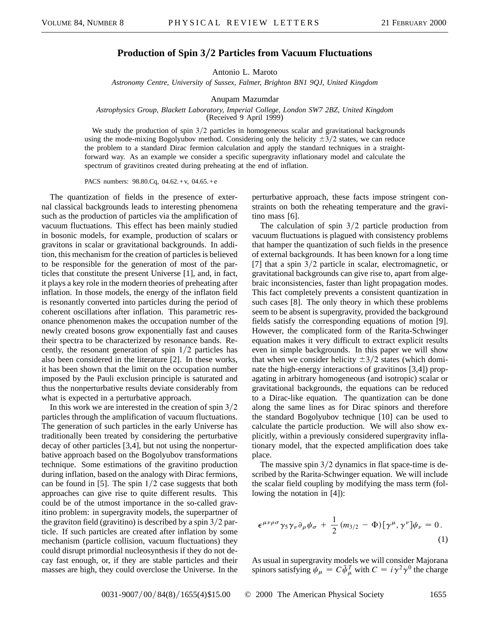## **Production of Spin 32 Particles from Vacuum Fluctuations**

Antonio L. Maroto

*Astronomy Centre, University of Sussex, Falmer, Brighton BN1 9QJ, United Kingdom*

Anupam Mazumdar

## *Astrophysics Group, Blackett Laboratory, Imperial College, London SW7 2BZ, United Kingdom* (Received 9 April 1999)

We study the production of spin  $3/2$  particles in homogeneous scalar and gravitational backgrounds using the mode-mixing Bogolyubov method. Considering only the helicity  $\pm 3/2$  states, we can reduce the problem to a standard Dirac fermion calculation and apply the standard techniques in a straightforward way. As an example we consider a specific supergravity inflationary model and calculate the spectrum of gravitinos created during preheating at the end of inflation.

PACS numbers: 98.80.Cq, 04.62.+v, 04.65.+e

The quantization of fields in the presence of external classical backgrounds leads to interesting phenomena such as the production of particles via the amplification of vacuum fluctuations. This effect has been mainly studied in bosonic models, for example, production of scalars or gravitons in scalar or gravitational backgrounds. In addition, this mechanism for the creation of particles is believed to be responsible for the generation of most of the particles that constitute the present Universe [1], and, in fact, it plays a key role in the modern theories of preheating after inflation. In those models, the energy of the inflaton field is resonantly converted into particles during the period of coherent oscillations after inflation. This parametric resonance phenomenon makes the occupation number of the newly created bosons grow exponentially fast and causes their spectra to be characterized by resonance bands. Recently, the resonant generation of spin  $1/2$  particles has also been considered in the literature [2]. In these works, it has been shown that the limit on the occupation number imposed by the Pauli exclusion principle is saturated and thus the nonperturbative results deviate considerably from what is expected in a perturbative approach.

In this work we are interested in the creation of spin  $3/2$ particles through the amplification of vacuum fluctuations. The generation of such particles in the early Universe has traditionally been treated by considering the perturbative decay of other particles [3,4], but not using the nonperturbative approach based on the Bogolyubov transformations technique. Some estimations of the gravitino production during inflation, based on the analogy with Dirac fermions, can be found in [5]. The spin  $1/2$  case suggests that both approaches can give rise to quite different results. This could be of the utmost importance in the so-called gravitino problem: in supergravity models, the superpartner of the graviton field (gravitino) is described by a spin  $3/2$  particle. If such particles are created after inflation by some mechanism (particle collision, vacuum fluctuations) they could disrupt primordial nucleosynthesis if they do not decay fast enough, or, if they are stable particles and their masses are high, they could overclose the Universe. In the perturbative approach, these facts impose stringent constraints on both the reheating temperature and the gravitino mass [6].

The calculation of spin  $3/2$  particle production from vacuum fluctuations is plagued with consistency problems that hamper the quantization of such fields in the presence of external backgrounds. It has been known for a long time [7] that a spin  $3/2$  particle in scalar, electromagnetic, or gravitational backgrounds can give rise to, apart from algebraic inconsistencies, faster than light propagation modes. This fact completely prevents a consistent quantization in such cases [8]. The only theory in which these problems seem to be absent is supergravity, provided the background fields satisfy the corresponding equations of motion [9]. However, the complicated form of the Rarita-Schwinger equation makes it very difficult to extract explicit results even in simple backgrounds. In this paper we will show that when we consider helicity  $\pm 3/2$  states (which dominate the high-energy interactions of gravitinos [3,4]) propagating in arbitrary homogeneous (and isotropic) scalar or gravitational backgrounds, the equations can be reduced to a Dirac-like equation. The quantization can be done along the same lines as for Dirac spinors and therefore the standard Bogolyubov technique [10] can be used to calculate the particle production. We will also show explicitly, within a previously considered supergravity inflationary model, that the expected amplification does take place.

The massive spin  $3/2$  dynamics in flat space-time is described by the Rarita-Schwinger equation. We will include the scalar field coupling by modifying the mass term (following the notation in [4]):

$$
\epsilon^{\mu\nu\rho\sigma}\gamma_5\gamma_\nu\partial_\rho\psi_\sigma + \frac{1}{2}(m_{3/2} - \Phi)[\gamma^\mu, \gamma^\nu]\psi_\nu = 0.
$$
\n(1)

As usual in supergravity models we will consider Majorana spinors satisfying  $\psi_{\mu} = C \bar{\psi}_{\mu}^{T}$  with  $C = i \gamma^{2} \gamma^{0}$  the charge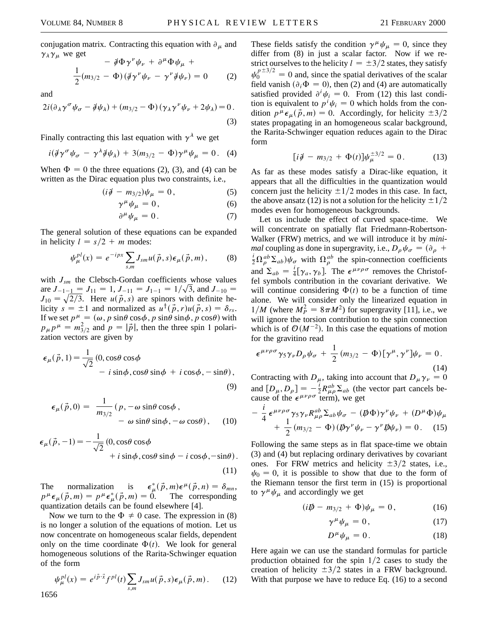conjugation matrix. Contracting this equation with  $\partial_{\mu}$  and  $\gamma_{\lambda} \gamma_{\mu}$  we get

$$
- \, \mathcal{\mathcal{J}} \Phi \gamma^{\nu} \psi_{\nu} + \partial^{\mu} \Phi \psi_{\mu} + \frac{1}{2} (m_{3/2} - \Phi) \left( \mathcal{\mathcal{J}} \gamma^{\nu} \psi_{\nu} - \gamma^{\nu} \mathcal{\mathcal{J}} \psi_{\nu} \right) = 0 \tag{2}
$$

and

$$
2i(\partial_{\lambda}\gamma^{\sigma}\psi_{\sigma}-\partial_{\mu}\psi_{\lambda})+(m_{3/2}-\Phi)(\gamma_{\lambda}\gamma^{\nu}\psi_{\nu}+2\psi_{\lambda})=0.
$$
\n(3)

Finally contracting this last equation with  $\gamma^{\lambda}$  we get

$$
i(\mathcal{J}\gamma^{\sigma}\psi_{\sigma}-\gamma^{\lambda}\mathcal{J}\psi_{\lambda})+3(m_{3/2}-\Phi)\gamma^{\mu}\psi_{\mu}=0.
$$
 (4)

When  $\Phi = 0$  the three equations (2), (3), and (4) can be written as the Dirac equation plus two constraints, i.e.,

$$
(i\partial \hspace{-.08in} / -m_{3/2})\psi_{\mu}=0\,,\hspace{1.5cm} (5)
$$

$$
\gamma^{\mu}\psi_{\mu} = 0, \qquad (6)
$$

$$
\partial^{\mu} \psi_{\mu} = 0. \tag{7}
$$

The general solution of these equations can be expanded in helicity  $l = s/2 + m$  modes:

$$
\psi_{\mu}^{pl}(x) = e^{-ipx} \sum_{s,m} J_{sm} u(\vec{p}, s) \epsilon_{\mu}(\vec{p}, m), \qquad (8)
$$

with  $J_{\rm sm}$  the Clebsch-Gordan coefficients whose values are  $J_{-1-\underline{1}} = J_{11} = 1, J_{-11} = J_{1-1} = 1/\sqrt{3}$ , and  $J_{-10} =$  $J_{10} = \sqrt{2/3}$ . Here  $u(\vec{p}, s)$  are spinors with definite helicity  $s = \pm 1$  and normalized as  $u^{\dagger}(\vec{p}, r)u(\vec{p}, s) = \delta_{rs}$ . If we set  $p^{\mu} = (\omega, p \sin \theta \cos \phi, p \sin \theta \sin \phi, p \cos \theta)$  with  $p_{\mu}p^{\mu} = m_{3/2}^2$  and  $p = |\vec{p}|$ , then the three spin 1 polarization vectors are given by

$$
\epsilon_{\mu}(\vec{p}, 1) = \frac{1}{\sqrt{2}} (0, \cos\theta \cos\phi - i \sin\phi, \cos\theta \sin\phi + i \cos\phi, -\sin\theta),
$$
\n(9)

$$
\epsilon_{\mu}(\vec{p},0) = \frac{1}{m_{3/2}} (p, -\omega \sin \theta \cos \phi, -\omega \cos \theta), \quad (10)
$$

$$
\epsilon_{\mu}(\vec{p},-1) = -\frac{1}{\sqrt{2}} (0, \cos\theta \cos\phi + i \sin\phi, \cos\theta \sin\phi - i \cos\phi, -\sin\theta).
$$

$$
(11)
$$

The normalization is  $\mu^*(\vec{p},m)\epsilon^{\mu}(\vec{p},n) = \delta_{mn},$  $p^{\mu} \epsilon_{\mu}(\vec{p}, m) = p^{\mu} \epsilon_{\mu}^{*}(\vec{p}, m) = 0.$  The corresponding quantization details can be found elsewhere [4].

Now we turn to the  $\Phi \neq 0$  case. The expression in (8) is no longer a solution of the equations of motion. Let us now concentrate on homogeneous scalar fields, dependent only on the time coordinate  $\Phi(t)$ . We look for general homogeneous solutions of the Rarita-Schwinger equation of the form

$$
\psi_{\mu}^{pl}(x) = e^{i\vec{p}\cdot\vec{x}} f^{pl}(t) \sum_{s,m} J_{sm} u(\vec{p}, s) \epsilon_{\mu}(\vec{p}, m). \tag{12}
$$

These fields satisfy the condition  $\gamma^{\mu} \psi_{\mu} = 0$ , since they differ from (8) in just a scalar factor. Now if we restrict ourselves to the helicity  $l = \pm 3/2$  states, they satisfy  $\psi_0^{p+3/2} = 0$  and, since the spatial derivatives of the scalar field vanish  $(\partial_i \Phi = 0)$ , then (2) and (4) are automatically satisfied provided  $\partial^i \psi_i = 0$ . From (12) this last condition is equivalent to  $p^{i}\psi_{i} = 0$  which holds from the condition  $p^{\mu} \epsilon_{\mu}(\vec{p}, m) = 0$ . Accordingly, for helicity  $\pm 3/2$ states propagating in an homogeneous scalar background, the Rarita-Schwinger equation reduces again to the Dirac form

$$
[i\partial \!\!\! / - m_{3/2} + \Phi(t)]\psi_{\mu}^{\pm 3/2} = 0. \qquad (13)
$$

As far as these modes satisfy a Dirac-like equation, it appears that all the difficulties in the quantization would concern just the helicity  $\pm 1/2$  modes in this case. In fact, the above ansatz (12) is not a solution for the helicity  $\pm 1/2$ modes even for homogeneous backgrounds.

Let us include the effect of curved space-time. We will concentrate on spatially flat Friedmann-Robertson-Walker (FRW) metrics, and we will introduce it by *minimal* coupling as done in supergravity, i.e.,  $D_{\rho}\psi_{\sigma} = (\partial_{\rho} +$  $\frac{i}{2}\Omega_{\rho}^{ab}\Sigma_{ab}\psi_{\sigma}$  with  $\Omega_{\rho}^{ab}$  the spin-connection coefficients and  $\Sigma_{ab} = \frac{i}{4} [\gamma_a, \gamma_b]$ . The  $\epsilon^{\mu\nu\rho\sigma}$  removes the Christoffel symbols contribution in the covariant derivative. We will continue considering  $\Phi(t)$  to be a function of time alone. We will consider only the linearized equation in  $1/M$  (where  $M_P^2 = 8\pi M^2$ ) for supergravity [11], i.e., we will ignore the torsion contribution to the spin connection which is of  $O(M^{-2})$ . In this case the equations of motion for the gravitino read

$$
\epsilon^{\mu\nu\rho\sigma}\gamma_5\gamma_\nu D_\rho\psi_\sigma + \frac{1}{2}(m_{3/2} - \Phi)[\gamma^\mu, \gamma^\nu]\psi_\nu = 0.
$$
\n(14)

Contracting with  $D_{\mu}$ , taking into account that  $D_{\mu} \gamma_{\nu} = 0$ and  $[D_{\mu}, D_{\rho}] = -\frac{i}{2} R_{\mu\rho}^{ab} \Sigma_{ab}$  (the vector part cancels because of the  $\epsilon^{\mu\nu\rho\sigma}$  term), we get

$$
-\frac{i}{4} \epsilon^{\mu\nu\rho\sigma} \gamma_5 \gamma_\nu R_{\mu\rho}^{ab} \Sigma_{ab} \psi_\sigma - (\not\!\!D \Phi) \gamma^\nu \psi_\nu + (D^\mu \Phi) \psi_\mu + \frac{1}{2} (m_{3/2} - \Phi) (\not\!\!D \gamma^\nu \psi_\nu - \gamma^\nu \not\!\!D \psi_\nu) = 0. \quad (15)
$$

Following the same steps as in flat space-time we obtain (3) and (4) but replacing ordinary derivatives by covariant ones. For FRW metrics and helicity  $\pm 3/2$  states, i.e.,  $\psi_0 = 0$ , it is possible to show that due to the form of the Riemann tensor the first term in (15) is proportional to  $\gamma^{\mu} \psi_{\mu}$  and accordingly we get

$$
(i\rlap{\,/}D - m_{3/2} + \Phi)\psi_{\mu} = 0, \qquad (16)
$$

$$
\gamma^{\mu}\psi_{\mu} = 0, \qquad (17)
$$

$$
D^{\mu}\psi_{\mu} = 0. \tag{18}
$$

Here again we can use the standard formulas for particle production obtained for the spin  $1/2$  cases to study the creation of helicity  $\pm 3/2$  states in a FRW background. With that purpose we have to reduce Eq. (16) to a second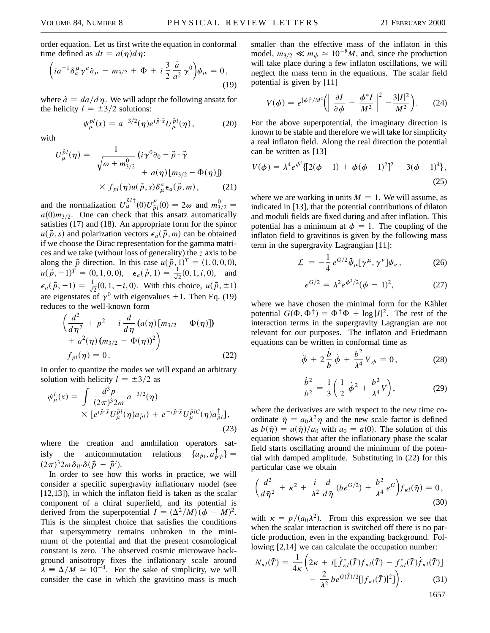order equation. Let us first write the equation in conformal time defined as  $dt = a(\eta)d\eta$ :

$$
\left(ia^{-1}\delta_a^{\mu}\gamma^a\partial_{\mu} - m_{3/2} + \Phi + i\frac{3}{2}\frac{\dot{a}}{a^2}\gamma^0\right)\psi_{\mu} = 0,
$$
\n(19)

where  $\dot{a} = da/d\eta$ . We will adopt the following ansatz for the helicity  $l = \pm 3/2$  solutions:

$$
\psi_{\mu}^{pl}(x) = a^{-3/2}(\eta)e^{i\vec{p}\cdot\vec{x}}U_{\mu}^{\vec{p}l}(\eta), \qquad (20)
$$

with

$$
U_{\mu}^{\vec{p}l}(\eta) = \frac{1}{\sqrt{\omega + m_{3/2}^0}} \left( i\gamma^0 \partial_0 - \vec{p} \cdot \vec{\gamma} \right. \\ \left. + a(\eta) \left[ m_{3/2} - \Phi(\eta) \right] \right) \\ \times f_{pl}(\eta) u(\vec{p}, s) \delta^a_{\mu} \epsilon_a(\vec{p}, m), \qquad (21)
$$

and the normalization  $U^{\tilde{p}l\dagger}(0)U^{\mu}_{\tilde{p}l}(0) = 2\omega$  and  $m_{3/2}^0 =$  $a(0)m_{3/2}$ . One can check that this ansatz automatically satisfies (17) and (18). An appropriate form for the spinor  $u(\vec{p}, s)$  and polarization vectors  $\epsilon_a(\vec{p}, m)$  can be obtained if we choose the Dirac representation for the gamma matrices and we take (without loss of generality) the *z* axis to be along the  $\vec{p}$  direction. In this case  $u(\vec{p}, 1)^T = (1, 0, 0, 0)$ ,  $u(\vec{p}, -1)^T = (0, 1, 0, 0), \quad \epsilon_a(\vec{p}, 1) = \frac{1}{\sqrt{2}}(0, 1, i, 0), \text{ and}$  $\epsilon_a(\vec{p},-1) = \frac{1}{\sqrt{2}}(0, 1, -i, 0)$ . With this choice,  $u(\vec{p}, \pm 1)$ are eigenstates of  $\gamma^0$  with eigenvalues +1. Then Eq. (19) reduces to the well-known form

$$
\left(\frac{d^2}{d\eta^2} + p^2 - i\frac{d}{d\eta} (a(\eta) [m_{3/2} - \Phi(\eta)]) + a^2(\eta) (m_{3/2} - \Phi(\eta))^2 \right) f_{pl}(\eta) = 0.
$$
 (22)

In order to quantize the modes we will expand an arbitrary solution with helicity  $l = \pm 3/2$  as

$$
\psi_{\mu}^{l}(x) = \int \frac{d^{3}p}{(2\pi)^{3}2\omega} a^{-3/2}(\eta) \times [e^{i\vec{p}\cdot\vec{x}} U_{\mu}^{\vec{p}l}(\eta)a_{\vec{p}l}) + e^{-i\vec{p}\cdot\vec{x}} U_{\mu}^{\vec{p}lC}(\eta)a_{\vec{p}l}^{\dagger}],
$$
\n(23)

where the creation and annhilation operators satisfy the anticommutation relations  $\{a_{\vec{p}l}, a_{\vec{p}}^{\dagger}\}$  $\frac{1}{\vec{p}'}\cdot\vec{l}}$  =  $(2\pi)^3 2\omega \delta_{ll'}\delta(\vec{p}-\vec{p}').$ 

In order to see how this works in practice, we will consider a specific supergravity inflationary model (see [12,13]), in which the inflaton field is taken as the scalar component of a chiral superfield, and its potential is derived from the superpotential  $I = (\Delta^2/M)(\phi - M)^2$ . This is the simplest choice that satisfies the conditions that supersymmetry remains unbroken in the minimum of the potential and that the present cosmological constant is zero. The observed cosmic microwave background anisotropy fixes the inflationary scale around  $\lambda = \Delta/M \approx 10^{-4}$ . For the sake of simplicity, we will consider the case in which the gravitino mass is much

smaller than the effective mass of the inflaton in this model,  $m_{3/2} \ll m_{\phi} \simeq 10^{-8}M$ , and, since the production will take place during a few inflaton oscillations, we will neglect the mass term in the equations. The scalar field potential is given by [11]

$$
V(\phi) = e^{|\phi|^2/M^2} \left( \left| \frac{\partial I}{\partial \phi} + \frac{\phi^* I}{M^2} \right|^2 - \frac{3|I|^2}{M^2} \right). \tag{24}
$$

For the above superpotential, the imaginary direction is known to be stable and therefore we will take for simplicity a real inflaton field. Along the real direction the potential can be written as [13]

$$
V(\phi) = \lambda^4 e^{\phi^2} \{ [2(\phi - 1) + \phi(\phi - 1)^2]^2 - 3(\phi - 1)^4 \},
$$
\n(25)

where we are working in units  $M = 1$ . We will assume, as indicated in [13], that the potential contributions of dilaton and moduli fields are fixed during and after inflation. This potential has a minimum at  $\phi = 1$ . The coupling of the inflaton field to gravitinos is given by the following mass term in the supergravity Lagrangian [11]:

$$
\mathcal{L} = -\frac{1}{4} e^{G/2} \bar{\psi}_{\mu} [\gamma^{\mu}, \gamma^{\nu}] \psi_{\nu}, \qquad (26)
$$

$$
e^{G/2} = \lambda^2 e^{\phi^2/2} (\phi - 1)^2, \tag{27}
$$

where we have chosen the minimal form for the Kähler potential  $G(\Phi, \Phi^{\dagger}) = \Phi^{\dagger} \Phi + \log |I|^2$ . The rest of the interaction terms in the supergravity Lagrangian are not relevant for our purposes. The inflaton and Friedmann equations can be written in conformal time as

$$
\ddot{\phi} + 2 \frac{\dot{b}}{b} \dot{\phi} + \frac{b^2}{\lambda^4} V_{,\phi} = 0, \qquad (28)
$$

$$
\frac{\dot{b}^2}{b^2} = \frac{1}{3} \left( \frac{1}{2} \dot{\phi}^2 + \frac{b^2}{\lambda^4} V \right),\tag{29}
$$

where the derivatives are with respect to the new time coordinate  $\tilde{\eta} = a_0 \lambda^2 \eta$  and the new scale factor is defined as  $b(\tilde{\eta}) = a(\tilde{\eta})/a_0$  with  $a_0 = a(0)$ . The solution of this equation shows that after the inflationary phase the scalar field starts oscillating around the minimum of the potential with damped amplitude. Substituting in (22) for this particular case we obtain

$$
\left(\frac{d^2}{d\tilde{\eta}^2}+\kappa^2+\frac{i}{\lambda^2}\frac{d}{d\tilde{\eta}}\left(be^{G/2}\right)+\frac{b^2}{\lambda^4}e^G\right) f_{\kappa l}(\tilde{\eta})=0,
$$
\n(30)

with  $\kappa = p/(a_0\lambda^2)$ . From this expression we see that when the scalar interaction is switched off there is no particle production, even in the expanding background. Following  $[2,14]$  we can calculate the occupation number:

$$
N_{\kappa l}(\tilde{T}) = \frac{1}{4\kappa} \left( 2\kappa + i[\dot{f}_{\kappa l}^*(\tilde{T})f_{\kappa l}(\tilde{T}) - f_{\kappa l}^*(\tilde{T})\dot{f}_{\kappa l}(\tilde{T})] - \frac{2}{\lambda^2} b e^{G(\tilde{T})/2} [|f_{\kappa l}(\tilde{T})|^2] \right).
$$
 (31)